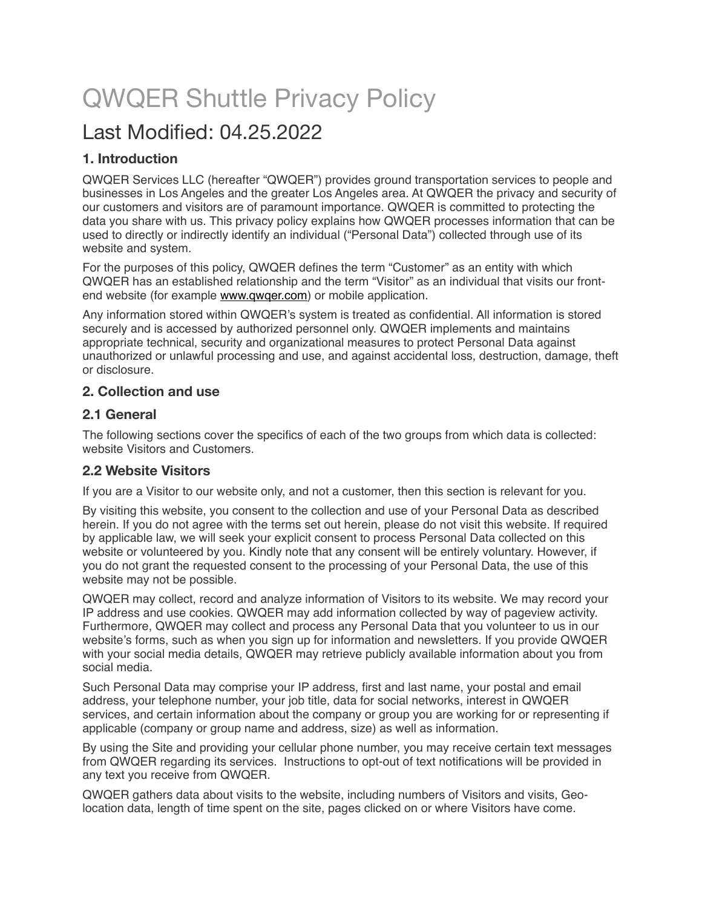# QWQER Shuttle Privacy Policy

# Last Modified: 04.25.2022

# **1. Introduction**

QWQER Services LLC (hereafter "QWQER") provides ground transportation services to people and businesses in Los Angeles and the greater Los Angeles area. At QWQER the privacy and security of our customers and visitors are of paramount importance. QWQER is committed to protecting the data you share with us. This privacy policy explains how QWQER processes information that can be used to directly or indirectly identify an individual ("Personal Data") collected through use of its website and system.

For the purposes of this policy, QWQER defines the term "Customer" as an entity with which QWQER has an established relationship and the term "Visitor" as an individual that visits our frontend website (for example [www.qwqer.com](http://www.qwqer.com)) or mobile application.

Any information stored within QWQER's system is treated as confidential. All information is stored securely and is accessed by authorized personnel only. QWQER implements and maintains appropriate technical, security and organizational measures to protect Personal Data against unauthorized or unlawful processing and use, and against accidental loss, destruction, damage, theft or disclosure.

# **2. Collection and use**

# **2.1 General**

The following sections cover the specifics of each of the two groups from which data is collected: website Visitors and Customers.

# **2.2 Website Visitors**

If you are a Visitor to our website only, and not a customer, then this section is relevant for you.

By visiting this website, you consent to the collection and use of your Personal Data as described herein. If you do not agree with the terms set out herein, please do not visit this website. If required by applicable law, we will seek your explicit consent to process Personal Data collected on this website or volunteered by you. Kindly note that any consent will be entirely voluntary. However, if you do not grant the requested consent to the processing of your Personal Data, the use of this website may not be possible.

QWQER may collect, record and analyze information of Visitors to its website. We may record your IP address and use cookies. QWQER may add information collected by way of pageview activity. Furthermore, QWQER may collect and process any Personal Data that you volunteer to us in our website's forms, such as when you sign up for information and newsletters. If you provide QWQER with your social media details, QWQER may retrieve publicly available information about you from social media.

Such Personal Data may comprise your IP address, first and last name, your postal and email address, your telephone number, your job title, data for social networks, interest in QWQER services, and certain information about the company or group you are working for or representing if applicable (company or group name and address, size) as well as information.

By using the Site and providing your cellular phone number, you may receive certain text messages from QWQER regarding its services. Instructions to opt-out of text notifications will be provided in any text you receive from QWQER.

QWQER gathers data about visits to the website, including numbers of Visitors and visits, Geolocation data, length of time spent on the site, pages clicked on or where Visitors have come.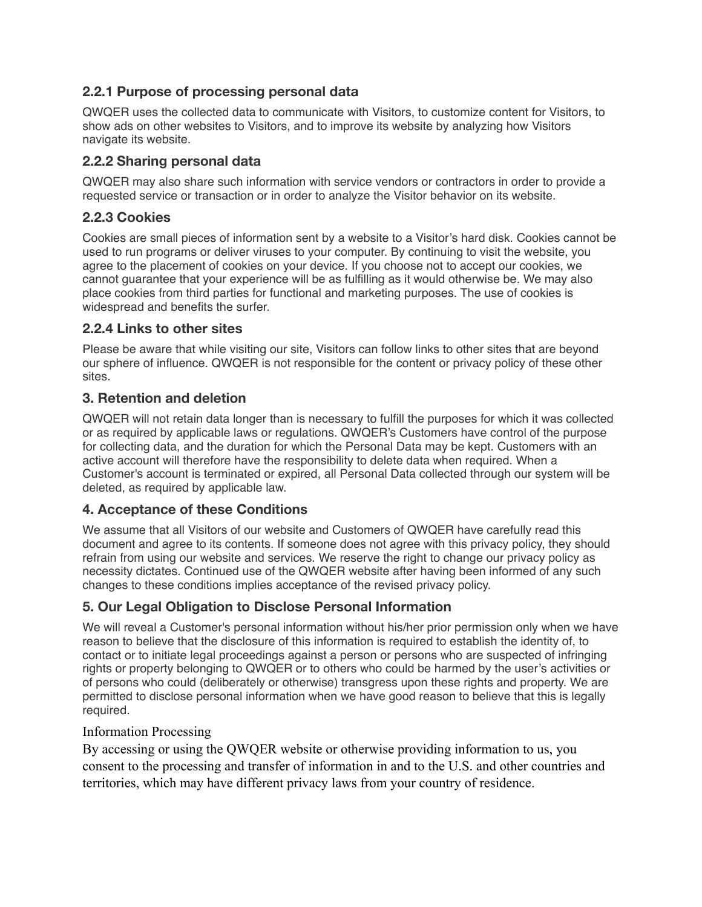# **2.2.1 Purpose of processing personal data**

QWQER uses the collected data to communicate with Visitors, to customize content for Visitors, to show ads on other websites to Visitors, and to improve its website by analyzing how Visitors navigate its website.

# **2.2.2 Sharing personal data**

QWQER may also share such information with service vendors or contractors in order to provide a requested service or transaction or in order to analyze the Visitor behavior on its website.

# **2.2.3 Cookies**

Cookies are small pieces of information sent by a website to a Visitor's hard disk. Cookies cannot be used to run programs or deliver viruses to your computer. By continuing to visit the website, you agree to the placement of cookies on your device. If you choose not to accept our cookies, we cannot guarantee that your experience will be as fulfilling as it would otherwise be. We may also place cookies from third parties for functional and marketing purposes. The use of cookies is widespread and benefits the surfer.

# **2.2.4 Links to other sites**

Please be aware that while visiting our site, Visitors can follow links to other sites that are beyond our sphere of influence. QWQER is not responsible for the content or privacy policy of these other sites.

#### **3. Retention and deletion**

QWQER will not retain data longer than is necessary to fulfill the purposes for which it was collected or as required by applicable laws or regulations. QWQER's Customers have control of the purpose for collecting data, and the duration for which the Personal Data may be kept. Customers with an active account will therefore have the responsibility to delete data when required. When a Customer's account is terminated or expired, all Personal Data collected through our system will be deleted, as required by applicable law.

# **4. Acceptance of these Conditions**

We assume that all Visitors of our website and Customers of QWQER have carefully read this document and agree to its contents. If someone does not agree with this privacy policy, they should refrain from using our website and services. We reserve the right to change our privacy policy as necessity dictates. Continued use of the QWQER website after having been informed of any such changes to these conditions implies acceptance of the revised privacy policy.

# **5. Our Legal Obligation to Disclose Personal Information**

We will reveal a Customer's personal information without his/her prior permission only when we have reason to believe that the disclosure of this information is required to establish the identity of, to contact or to initiate legal proceedings against a person or persons who are suspected of infringing rights or property belonging to QWQER or to others who could be harmed by the user's activities or of persons who could (deliberately or otherwise) transgress upon these rights and property. We are permitted to disclose personal information when we have good reason to believe that this is legally required.

#### Information Processing

By accessing or using the QWQER website or otherwise providing information to us, you consent to the processing and transfer of information in and to the U.S. and other countries and territories, which may have different privacy laws from your country of residence.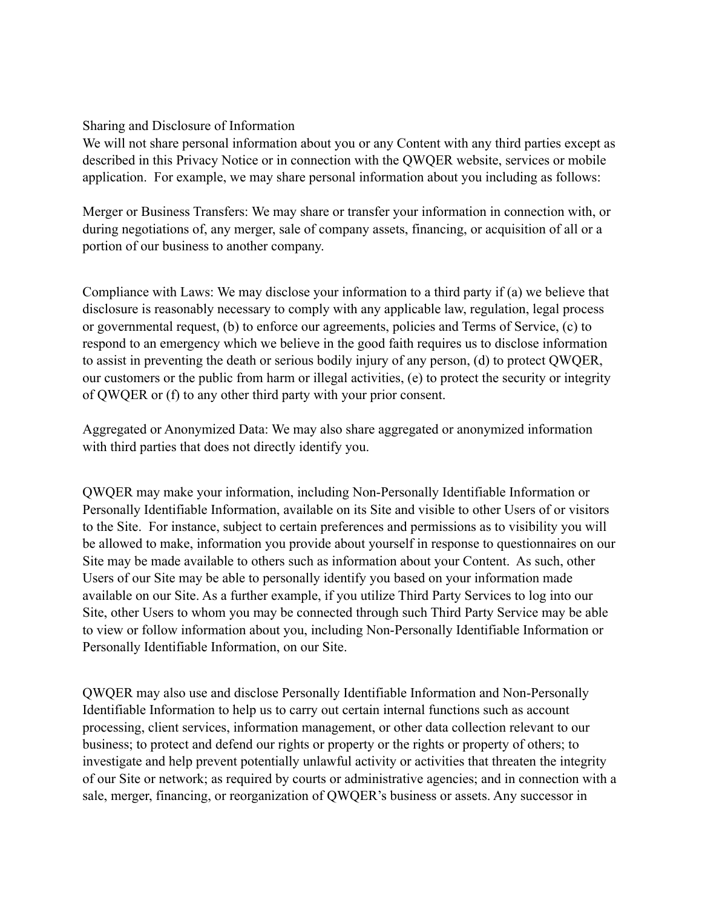#### Sharing and Disclosure of Information

We will not share personal information about you or any Content with any third parties except as described in this Privacy Notice or in connection with the QWQER website, services or mobile application. For example, we may share personal information about you including as follows:

Merger or Business Transfers: We may share or transfer your information in connection with, or during negotiations of, any merger, sale of company assets, financing, or acquisition of all or a portion of our business to another company.

Compliance with Laws: We may disclose your information to a third party if (a) we believe that disclosure is reasonably necessary to comply with any applicable law, regulation, legal process or governmental request, (b) to enforce our agreements, policies and Terms of Service, (c) to respond to an emergency which we believe in the good faith requires us to disclose information to assist in preventing the death or serious bodily injury of any person, (d) to protect QWQER, our customers or the public from harm or illegal activities, (e) to protect the security or integrity of QWQER or (f) to any other third party with your prior consent.

Aggregated or Anonymized Data: We may also share aggregated or anonymized information with third parties that does not directly identify you.

QWQER may make your information, including Non-Personally Identifiable Information or Personally Identifiable Information, available on its Site and visible to other Users of or visitors to the Site. For instance, subject to certain preferences and permissions as to visibility you will be allowed to make, information you provide about yourself in response to questionnaires on our Site may be made available to others such as information about your Content. As such, other Users of our Site may be able to personally identify you based on your information made available on our Site. As a further example, if you utilize Third Party Services to log into our Site, other Users to whom you may be connected through such Third Party Service may be able to view or follow information about you, including Non-Personally Identifiable Information or Personally Identifiable Information, on our Site.

QWQER may also use and disclose Personally Identifiable Information and Non-Personally Identifiable Information to help us to carry out certain internal functions such as account processing, client services, information management, or other data collection relevant to our business; to protect and defend our rights or property or the rights or property of others; to investigate and help prevent potentially unlawful activity or activities that threaten the integrity of our Site or network; as required by courts or administrative agencies; and in connection with a sale, merger, financing, or reorganization of QWQER's business or assets. Any successor in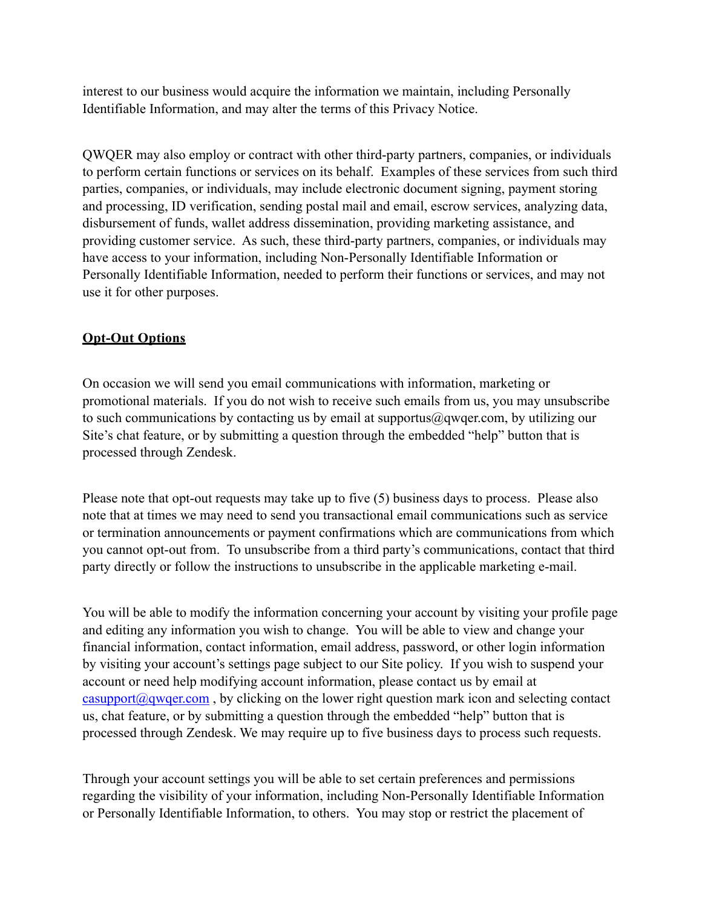interest to our business would acquire the information we maintain, including Personally Identifiable Information, and may alter the terms of this Privacy Notice.

QWQER may also employ or contract with other third-party partners, companies, or individuals to perform certain functions or services on its behalf. Examples of these services from such third parties, companies, or individuals, may include electronic document signing, payment storing and processing, ID verification, sending postal mail and email, escrow services, analyzing data, disbursement of funds, wallet address dissemination, providing marketing assistance, and providing customer service. As such, these third-party partners, companies, or individuals may have access to your information, including Non-Personally Identifiable Information or Personally Identifiable Information, needed to perform their functions or services, and may not use it for other purposes.

# **Opt-Out Options**

On occasion we will send you email communications with information, marketing or promotional materials. If you do not wish to receive such emails from us, you may unsubscribe to such communications by contacting us by email at supportus@qwqer.com, by utilizing our Site's chat feature, or by submitting a question through the embedded "help" button that is processed through Zendesk.

Please note that opt-out requests may take up to five (5) business days to process. Please also note that at times we may need to send you transactional email communications such as service or termination announcements or payment confirmations which are communications from which you cannot opt-out from. To unsubscribe from a third party's communications, contact that third party directly or follow the instructions to unsubscribe in the applicable marketing e-mail.

You will be able to modify the information concerning your account by visiting your profile page and editing any information you wish to change. You will be able to view and change your financial information, contact information, email address, password, or other login information by visiting your account's settings page subject to our Site policy. If you wish to suspend your account or need help modifying account information, please contact us by email at  $\frac{\text{casupport}(\partial q \text{vqer.com}}{q \text{vqer.com}}$ , by clicking on the lower right question mark icon and selecting contact us, chat feature, or by submitting a question through the embedded "help" button that is processed through Zendesk. We may require up to five business days to process such requests.

Through your account settings you will be able to set certain preferences and permissions regarding the visibility of your information, including Non-Personally Identifiable Information or Personally Identifiable Information, to others. You may stop or restrict the placement of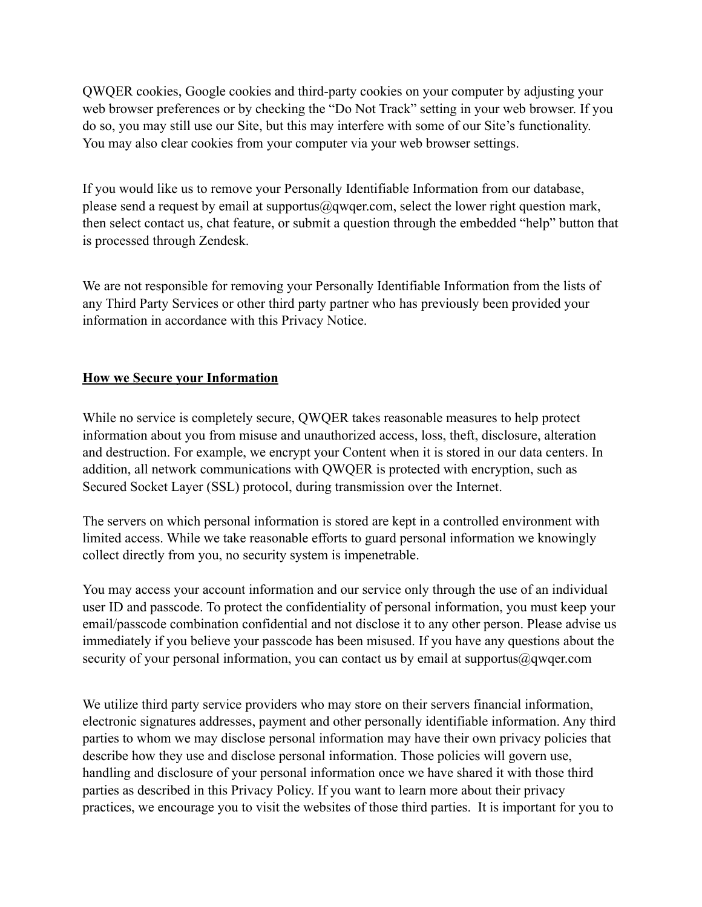QWQER cookies, Google cookies and third-party cookies on your computer by adjusting your web browser preferences or by checking the "Do Not Track" setting in your web browser. If you do so, you may still use our Site, but this may interfere with some of our Site's functionality. You may also clear cookies from your computer via your web browser settings.

If you would like us to remove your Personally Identifiable Information from our database, please send a request by email at supportus@qwqer.com, select the lower right question mark, then select contact us, chat feature, or submit a question through the embedded "help" button that is processed through Zendesk.

We are not responsible for removing your Personally Identifiable Information from the lists of any Third Party Services or other third party partner who has previously been provided your information in accordance with this Privacy Notice.

# **How we Secure your Information**

While no service is completely secure, QWQER takes reasonable measures to help protect information about you from misuse and unauthorized access, loss, theft, disclosure, alteration and destruction. For example, we encrypt your Content when it is stored in our data centers. In addition, all network communications with QWQER is protected with encryption, such as Secured Socket Layer (SSL) protocol, during transmission over the Internet.

The servers on which personal information is stored are kept in a controlled environment with limited access. While we take reasonable efforts to guard personal information we knowingly collect directly from you, no security system is impenetrable.

You may access your account information and our service only through the use of an individual user ID and passcode. To protect the confidentiality of personal information, you must keep your email/passcode combination confidential and not disclose it to any other person. Please advise us immediately if you believe your passcode has been misused. If you have any questions about the security of your personal information, you can contact us by email at supportus@qwqer.com

We utilize third party service providers who may store on their servers financial information, electronic signatures addresses, payment and other personally identifiable information. Any third parties to whom we may disclose personal information may have their own privacy policies that describe how they use and disclose personal information. Those policies will govern use, handling and disclosure of your personal information once we have shared it with those third parties as described in this Privacy Policy. If you want to learn more about their privacy practices, we encourage you to visit the websites of those third parties. It is important for you to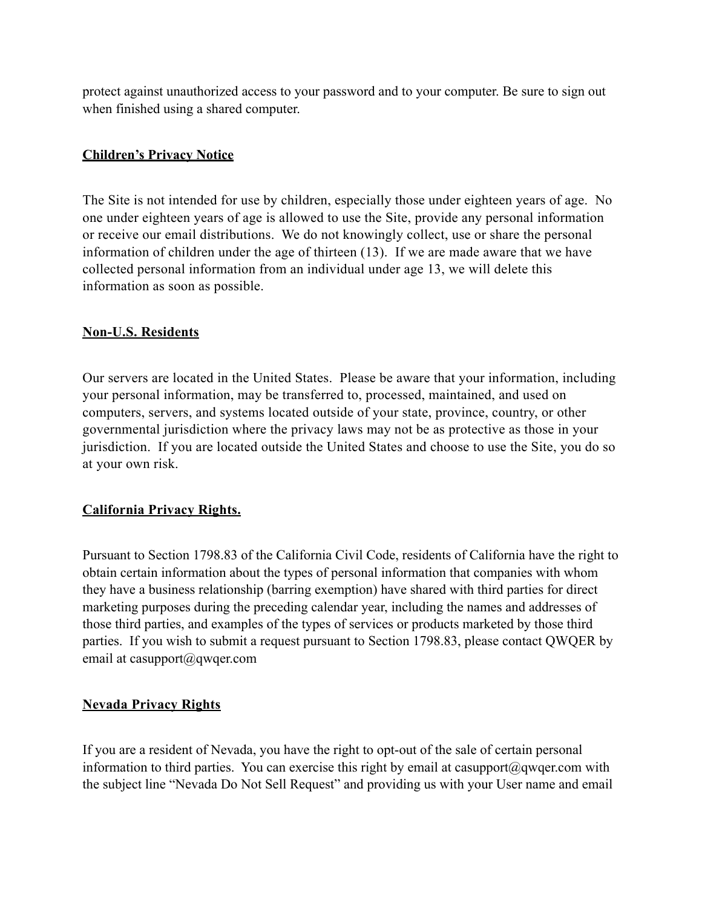protect against unauthorized access to your password and to your computer. Be sure to sign out when finished using a shared computer.

# **Children's Privacy Notice**

The Site is not intended for use by children, especially those under eighteen years of age. No one under eighteen years of age is allowed to use the Site, provide any personal information or receive our email distributions. We do not knowingly collect, use or share the personal information of children under the age of thirteen (13). If we are made aware that we have collected personal information from an individual under age 13, we will delete this information as soon as possible.

# **Non-U.S. Residents**

Our servers are located in the United States. Please be aware that your information, including your personal information, may be transferred to, processed, maintained, and used on computers, servers, and systems located outside of your state, province, country, or other governmental jurisdiction where the privacy laws may not be as protective as those in your jurisdiction. If you are located outside the United States and choose to use the Site, you do so at your own risk.

# **California Privacy Rights.**

Pursuant to Section 1798.83 of the California Civil Code, residents of California have the right to obtain certain information about the types of personal information that companies with whom they have a business relationship (barring exemption) have shared with third parties for direct marketing purposes during the preceding calendar year, including the names and addresses of those third parties, and examples of the types of services or products marketed by those third parties. If you wish to submit a request pursuant to Section 1798.83, please contact QWQER by email at casupport@qwqer.com

# **Nevada Privacy Rights**

If you are a resident of Nevada, you have the right to opt-out of the sale of certain personal information to third parties. You can exercise this right by email at casupport@qwqer.com with the subject line "Nevada Do Not Sell Request" and providing us with your User name and email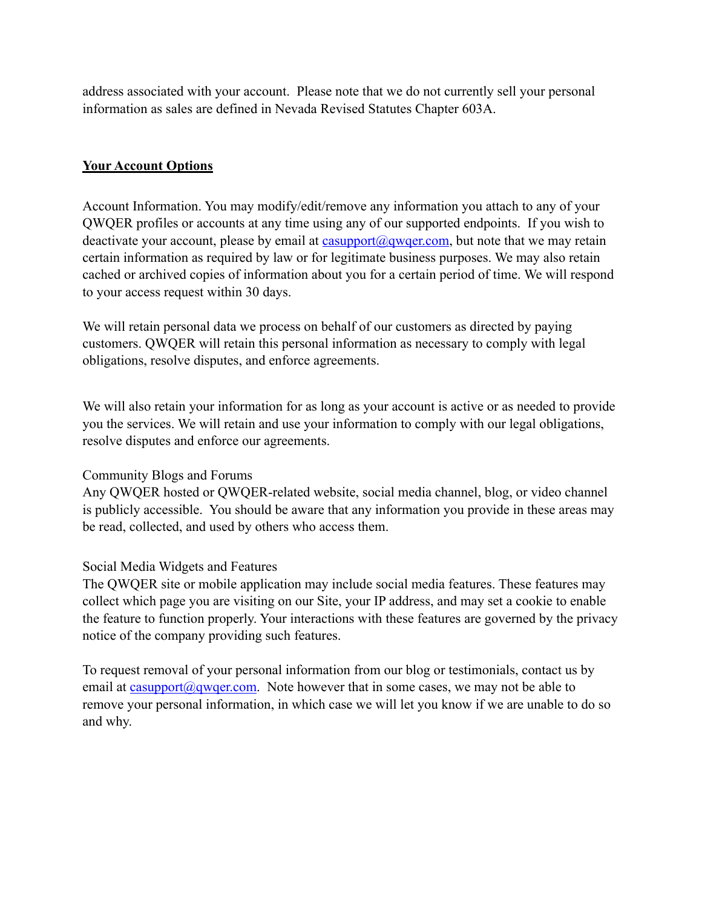address associated with your account. Please note that we do not currently sell your personal information as sales are defined in Nevada Revised Statutes Chapter 603A.

# **Your Account Options**

Account Information. You may modify/edit/remove any information you attach to any of your QWQER profiles or accounts at any time using any of our supported endpoints. If you wish to deactivate your account, please by email at [casupport@qwqer.com,](mailto:casupport@qwqer.com) but note that we may retain certain information as required by law or for legitimate business purposes. We may also retain cached or archived copies of information about you for a certain period of time. We will respond to your access request within 30 days.

We will retain personal data we process on behalf of our customers as directed by paying customers. QWQER will retain this personal information as necessary to comply with legal obligations, resolve disputes, and enforce agreements.

We will also retain your information for as long as your account is active or as needed to provide you the services. We will retain and use your information to comply with our legal obligations, resolve disputes and enforce our agreements.

# Community Blogs and Forums

Any QWQER hosted or QWQER-related website, social media channel, blog, or video channel is publicly accessible. You should be aware that any information you provide in these areas may be read, collected, and used by others who access them.

# Social Media Widgets and Features

The QWQER site or mobile application may include social media features. These features may collect which page you are visiting on our Site, your IP address, and may set a cookie to enable the feature to function properly. Your interactions with these features are governed by the privacy notice of the company providing such features.

To request removal of your personal information from our blog or testimonials, contact us by email at casupport $(a)$  gwger.com. Note however that in some cases, we may not be able to remove your personal information, in which case we will let you know if we are unable to do so and why.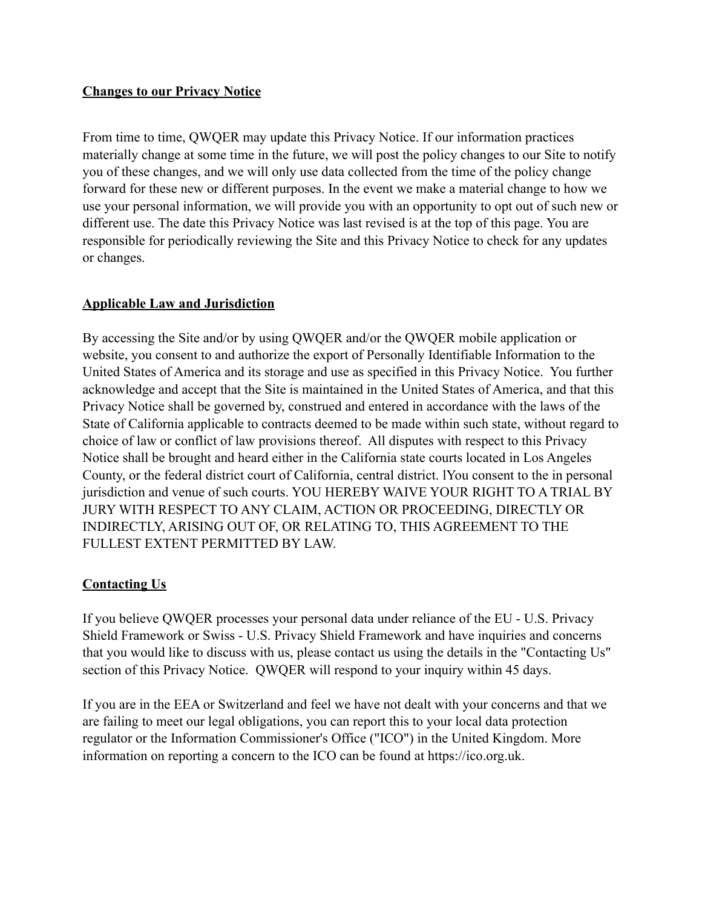# **Changes to our Privacy Notice**

From time to time, QWQER may update this Privacy Notice. If our information practices materially change at some time in the future, we will post the policy changes to our Site to notify you of these changes, and we will only use data collected from the time of the policy change forward for these new or different purposes. In the event we make a material change to how we use your personal information, we will provide you with an opportunity to opt out of such new or different use. The date this Privacy Notice was last revised is at the top of this page. You are responsible for periodically reviewing the Site and this Privacy Notice to check for any updates or changes.

# **Applicable Law and Jurisdiction**

By accessing the Site and/or by using QWQER and/or the QWQER mobile application or website, you consent to and authorize the export of Personally Identifiable Information to the United States of America and its storage and use as specified in this Privacy Notice. You further acknowledge and accept that the Site is maintained in the United States of America, and that this Privacy Notice shall be governed by, construed and entered in accordance with the laws of the State of California applicable to contracts deemed to be made within such state, without regard to choice of law or conflict of law provisions thereof. All disputes with respect to this Privacy Notice shall be brought and heard either in the California state courts located in Los Angeles County, or the federal district court of California, central district. lYou consent to the in personal jurisdiction and venue of such courts. YOU HEREBY WAIVE YOUR RIGHT TO A TRIAL BY JURY WITH RESPECT TO ANY CLAIM, ACTION OR PROCEEDING, DIRECTLY OR INDIRECTLY, ARISING OUT OF, OR RELATING TO, THIS AGREEMENT TO THE FULLEST EXTENT PERMITTED BY LAW.

# **Contacting Us**

If you believe QWQER processes your personal data under reliance of the EU - U.S. Privacy Shield Framework or Swiss - U.S. Privacy Shield Framework and have inquiries and concerns that you would like to discuss with us, please contact us using the details in the "Contacting Us" section of this Privacy Notice. QWQER will respond to your inquiry within 45 days.

If you are in the EEA or Switzerland and feel we have not dealt with your concerns and that we are failing to meet our legal obligations, you can report this to your local data protection regulator or the Information Commissioner's Office ("ICO") in the United Kingdom. More information on reporting a concern to the ICO can be found at<https://ico.org.uk>.